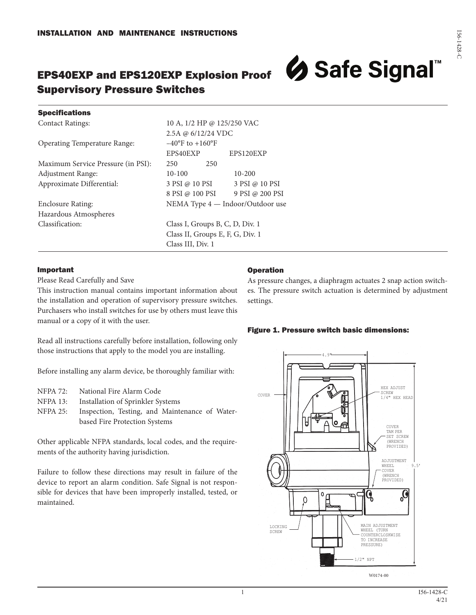# EPS40EXP and EPS120EXP Explosion Proof Supervisory Pressure Switches



#### **Specifications**

Contact Ratings: 10 A, 1/2 HP @ 125/250 VAC

Operating Temperature Range: –40°F to +160°F

Maximum Service Pressure (in PSI): 250 250 Adjustment Range:  $10-100$  10-200

Hazardous Atmospheres

2.5A @ 6/12/24 VDC EPS40EXP EPS120EXP Approximate Differential: 3 PSI @ 10 PSI 3 PSI @ 10 PSI 8 PSI @ 100 PSI 9 PSI @ 200 PSI Enclosure Rating: NEMA Type 4 — Indoor/Outdoor use Classification: Class I, Groups B, C, D, Div. 1 Class II, Groups E, F, G, Div. 1 Class III, Div. 1

#### Important

Please Read Carefully and Save

This instruction manual contains important information about the installation and operation of supervisory pressure switches. Purchasers who install switches for use by others must leave this manual or a copy of it with the user.

Read all instructions carefully before installation, following only those instructions that apply to the model you are installing.

Before installing any alarm device, be thoroughly familiar with:

- NFPA 72: National Fire Alarm Code
- NFPA 13: Installation of Sprinkler Systems
- NFPA 25: Inspection, Testing, and Maintenance of Waterbased Fire Protection Systems

Other applicable NFPA standards, local codes, and the requirements of the authority having jurisdiction.

Failure to follow these directions may result in failure of the device to report an alarm condition. Safe Signal is not responsible for devices that have been improperly installed, tested, or maintained.

### Operation

As pressure changes, a diaphragm actuates 2 snap action switches. The pressure switch actuation is determined by adjustment settings.

#### Figure 1. Pressure switch basic dimensions:



W0174-00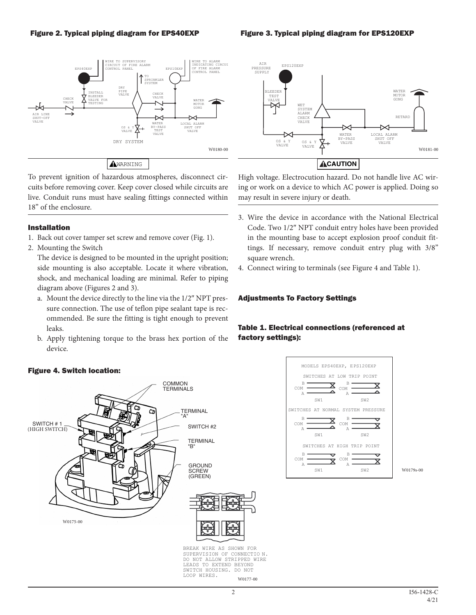#### Figure 2. Typical piping diagram for EPS40EXP





To prevent ignition of hazardous atmospheres, disconnect circuits before removing cover. Keep cover closed while circuits are live. Conduit runs must have sealing fittings connected within 18" of the enclosure.

#### Installation

- 1. Back out cover tamper set screw and remove cover (Fig. 1).
- 2. Mounting the Switch

The device is designed to be mounted in the upright position; side mounting is also acceptable. Locate it where vibration, shock, and mechanical loading are minimal. Refer to piping diagram above (Figures 2 and 3).

- a. Mount the device directly to the line via the 1/2″ NPT pressure connection. The use of teflon pipe sealant tape is recommended. Be sure the fitting is tight enough to prevent leaks.
- b. Apply tightening torque to the brass hex portion of the device.

High voltage. Electrocution hazard. Do not handle live AC wiring or work on a device to which AC power is applied. Doing so may result in severe injury or death.

- 3. Wire the device in accordance with the National Electrical Code. Two 1/2″ NPT conduit entry holes have been provided in the mounting base to accept explosion proof conduit fittings. If necessary, remove conduit entry plug with 3/8" square wrench.
- 4. Connect wiring to terminals (see Figure 4 and Table 1).

### Adjustments To Factory Settings

## Table 1. Electrical connections (referenced at factory settings):



BREAK WIRE AS SHOWN FOR SUPERVISION OF CONNECTIO N. DO NOT ALLOW STRIPPED WIRE LEADS TO EXTEND BEYOND SWITCH HOUSING. DO NOT LOOP WIRES. W0177-00



W0179s-00